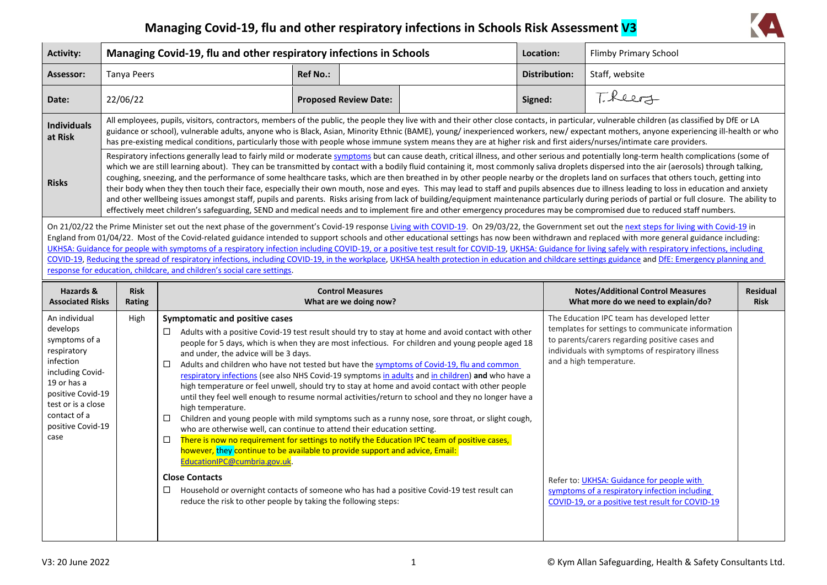## **Managing Covid-19, flu and other respiratory infections in Schools Risk Assessment V3**



| <b>Activity:</b>                                                                                                                                                                                                                                                                                                                                                                                                                                                                                                                                                                                                                                                                                                                                                                                                                                                                                 |                                                                                                                                                                                                                                                                                                                                                                                                                                                                                                                                                                                                                                                                                                                                                                                                                                                                                                                                                                                                                                                                                                                                                           | Managing Covid-19, flu and other respiratory infections in Schools                                                                                                                                                                                                                                                                                                                                                                                                                                                                                                                                                    |                 |                                                   |                                                                                                                                                                                                                                                                                                                                                                                                                                                                                                                                                                                                                                                                                                                       | Location:            | Flimby Primary School                                                                                                                                                                                                                                                                                                                                                                   |                                |
|--------------------------------------------------------------------------------------------------------------------------------------------------------------------------------------------------------------------------------------------------------------------------------------------------------------------------------------------------------------------------------------------------------------------------------------------------------------------------------------------------------------------------------------------------------------------------------------------------------------------------------------------------------------------------------------------------------------------------------------------------------------------------------------------------------------------------------------------------------------------------------------------------|-----------------------------------------------------------------------------------------------------------------------------------------------------------------------------------------------------------------------------------------------------------------------------------------------------------------------------------------------------------------------------------------------------------------------------------------------------------------------------------------------------------------------------------------------------------------------------------------------------------------------------------------------------------------------------------------------------------------------------------------------------------------------------------------------------------------------------------------------------------------------------------------------------------------------------------------------------------------------------------------------------------------------------------------------------------------------------------------------------------------------------------------------------------|-----------------------------------------------------------------------------------------------------------------------------------------------------------------------------------------------------------------------------------------------------------------------------------------------------------------------------------------------------------------------------------------------------------------------------------------------------------------------------------------------------------------------------------------------------------------------------------------------------------------------|-----------------|---------------------------------------------------|-----------------------------------------------------------------------------------------------------------------------------------------------------------------------------------------------------------------------------------------------------------------------------------------------------------------------------------------------------------------------------------------------------------------------------------------------------------------------------------------------------------------------------------------------------------------------------------------------------------------------------------------------------------------------------------------------------------------------|----------------------|-----------------------------------------------------------------------------------------------------------------------------------------------------------------------------------------------------------------------------------------------------------------------------------------------------------------------------------------------------------------------------------------|--------------------------------|
| Assessor:                                                                                                                                                                                                                                                                                                                                                                                                                                                                                                                                                                                                                                                                                                                                                                                                                                                                                        | <b>Tanya Peers</b>                                                                                                                                                                                                                                                                                                                                                                                                                                                                                                                                                                                                                                                                                                                                                                                                                                                                                                                                                                                                                                                                                                                                        |                                                                                                                                                                                                                                                                                                                                                                                                                                                                                                                                                                                                                       | <b>Ref No.:</b> |                                                   |                                                                                                                                                                                                                                                                                                                                                                                                                                                                                                                                                                                                                                                                                                                       | <b>Distribution:</b> | Staff, website                                                                                                                                                                                                                                                                                                                                                                          |                                |
| Date:                                                                                                                                                                                                                                                                                                                                                                                                                                                                                                                                                                                                                                                                                                                                                                                                                                                                                            | 22/06/22                                                                                                                                                                                                                                                                                                                                                                                                                                                                                                                                                                                                                                                                                                                                                                                                                                                                                                                                                                                                                                                                                                                                                  |                                                                                                                                                                                                                                                                                                                                                                                                                                                                                                                                                                                                                       |                 | <b>Proposed Review Date:</b>                      |                                                                                                                                                                                                                                                                                                                                                                                                                                                                                                                                                                                                                                                                                                                       | Signed:              | T. Reers                                                                                                                                                                                                                                                                                                                                                                                |                                |
| <b>Individuals</b><br>at Risk                                                                                                                                                                                                                                                                                                                                                                                                                                                                                                                                                                                                                                                                                                                                                                                                                                                                    |                                                                                                                                                                                                                                                                                                                                                                                                                                                                                                                                                                                                                                                                                                                                                                                                                                                                                                                                                                                                                                                                                                                                                           | has pre-existing medical conditions, particularly those with people whose immune system means they are at higher risk and first aiders/nurses/intimate care providers.                                                                                                                                                                                                                                                                                                                                                                                                                                                |                 |                                                   |                                                                                                                                                                                                                                                                                                                                                                                                                                                                                                                                                                                                                                                                                                                       |                      | All employees, pupils, visitors, contractors, members of the public, the people they live with and their other close contacts, in particular, vulnerable children (as classified by DfE or LA<br>guidance or school), vulnerable adults, anyone who is Black, Asian, Minority Ethnic (BAME), young/ inexperienced workers, new/expectant mothers, anyone experiencing ill-health or who |                                |
| <b>Risks</b>                                                                                                                                                                                                                                                                                                                                                                                                                                                                                                                                                                                                                                                                                                                                                                                                                                                                                     | Respiratory infections generally lead to fairly mild or moderate symptoms but can cause death, critical illness, and other serious and potentially long-term health complications (some of<br>which we are still learning about). They can be transmitted by contact with a bodily fluid containing it, most commonly saliva droplets dispersed into the air (aerosols) through talking,<br>coughing, sneezing, and the performance of some healthcare tasks, which are then breathed in by other people nearby or the droplets land on surfaces that others touch, getting into<br>their body when they then touch their face, especially their own mouth, nose and eyes. This may lead to staff and pupils absences due to illness leading to loss in education and anxiety<br>and other wellbeing issues amongst staff, pupils and parents. Risks arising from lack of building/equipment maintenance particularly during periods of partial or full closure. The ability to<br>effectively meet children's safeguarding, SEND and medical needs and to implement fire and other emergency procedures may be compromised due to reduced staff numbers. |                                                                                                                                                                                                                                                                                                                                                                                                                                                                                                                                                                                                                       |                 |                                                   |                                                                                                                                                                                                                                                                                                                                                                                                                                                                                                                                                                                                                                                                                                                       |                      |                                                                                                                                                                                                                                                                                                                                                                                         |                                |
| On 21/02/22 the Prime Minister set out the next phase of the government's Covid-19 response Living with COVID-19. On 29/03/22, the Government set out the next steps for living with Covid-19 in<br>England from 01/04/22. Most of the Covid-related guidance intended to support schools and other educational settings has now been withdrawn and replaced with more general guidance including:<br>UKHSA: Guidance for people with symptoms of a respiratory infection including COVID-19, or a positive test result for COVID-19, UKHSA: Guidance for living safely with respiratory infections, including<br>COVID-19, Reducing the spread of respiratory infections, including COVID-19, in the workplace, UKHSA health protection in education and childcare settings guidance and DfE: Emergency planning and<br>response for education, childcare, and children's social care settings. |                                                                                                                                                                                                                                                                                                                                                                                                                                                                                                                                                                                                                                                                                                                                                                                                                                                                                                                                                                                                                                                                                                                                                           |                                                                                                                                                                                                                                                                                                                                                                                                                                                                                                                                                                                                                       |                 |                                                   |                                                                                                                                                                                                                                                                                                                                                                                                                                                                                                                                                                                                                                                                                                                       |                      |                                                                                                                                                                                                                                                                                                                                                                                         |                                |
| Hazards &<br><b>Associated Risks</b>                                                                                                                                                                                                                                                                                                                                                                                                                                                                                                                                                                                                                                                                                                                                                                                                                                                             | <b>Risk</b><br>Rating                                                                                                                                                                                                                                                                                                                                                                                                                                                                                                                                                                                                                                                                                                                                                                                                                                                                                                                                                                                                                                                                                                                                     |                                                                                                                                                                                                                                                                                                                                                                                                                                                                                                                                                                                                                       |                 | <b>Control Measures</b><br>What are we doing now? |                                                                                                                                                                                                                                                                                                                                                                                                                                                                                                                                                                                                                                                                                                                       |                      | <b>Notes/Additional Control Measures</b><br>What more do we need to explain/do?                                                                                                                                                                                                                                                                                                         | <b>Residual</b><br><b>Risk</b> |
| An individual<br>develops<br>symptoms of a<br>respiratory<br>infection<br>including Covid-<br>19 or has a<br>positive Covid-19<br>test or is a close<br>contact of a<br>positive Covid-19<br>case                                                                                                                                                                                                                                                                                                                                                                                                                                                                                                                                                                                                                                                                                                | High                                                                                                                                                                                                                                                                                                                                                                                                                                                                                                                                                                                                                                                                                                                                                                                                                                                                                                                                                                                                                                                                                                                                                      | <b>Symptomatic and positive cases</b><br>□<br>and under, the advice will be 3 days.<br>□<br>high temperature.<br>□<br>who are otherwise well, can continue to attend their education setting.<br>There is now no requirement for settings to notify the Education IPC team of positive cases,<br>□<br>however, they continue to be available to provide support and advice, Email:<br>EducationIPC@cumbria.gov.uk.<br><b>Close Contacts</b><br>Household or overnight contacts of someone who has had a positive Covid-19 test result can<br>$\Box$<br>reduce the risk to other people by taking the following steps: |                 |                                                   | Adults with a positive Covid-19 test result should try to stay at home and avoid contact with other<br>people for 5 days, which is when they are most infectious. For children and young people aged 18<br>Adults and children who have not tested but have the symptoms of Covid-19, flu and common<br>respiratory infections (see also NHS Covid-19 symptoms in adults and in children) and who have a<br>high temperature or feel unwell, should try to stay at home and avoid contact with other people<br>until they feel well enough to resume normal activities/return to school and they no longer have a<br>Children and young people with mild symptoms such as a runny nose, sore throat, or slight cough, |                      | The Education IPC team has developed letter<br>templates for settings to communicate information<br>to parents/carers regarding positive cases and<br>individuals with symptoms of respiratory illness<br>and a high temperature.<br>Refer to: UKHSA: Guidance for people with<br>symptoms of a respiratory infection including<br>COVID-19, or a positive test result for COVID-19     |                                |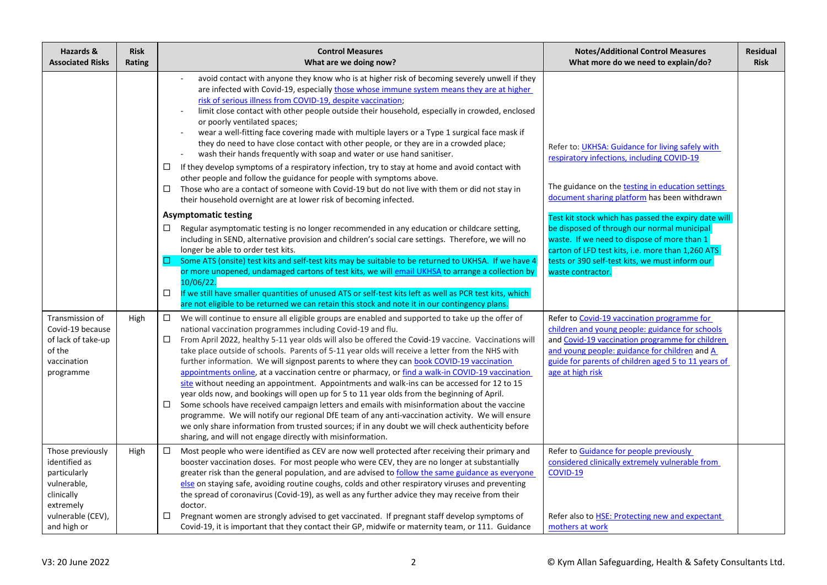| Hazards &<br><b>Associated Risks</b>                                                                                            | <b>Risk</b><br>Rating | <b>Control Measures</b><br>What are we doing now?                                                                                                                                                                                                                                                                                                                                                                                                                                                                                                                                                                                                                                                                                                                                                                                                                                                                                                                                                                                                                                                                                                                                                                                                                                                                                                                                                                                                                                                                                                                                                                                                                                                                                                                  | <b>Notes/Additional Control Measures</b><br>What more do we need to explain/do?                                                                                                                                                                                                                                                                                                                                                                                                        | <b>Residual</b><br><b>Risk</b> |
|---------------------------------------------------------------------------------------------------------------------------------|-----------------------|--------------------------------------------------------------------------------------------------------------------------------------------------------------------------------------------------------------------------------------------------------------------------------------------------------------------------------------------------------------------------------------------------------------------------------------------------------------------------------------------------------------------------------------------------------------------------------------------------------------------------------------------------------------------------------------------------------------------------------------------------------------------------------------------------------------------------------------------------------------------------------------------------------------------------------------------------------------------------------------------------------------------------------------------------------------------------------------------------------------------------------------------------------------------------------------------------------------------------------------------------------------------------------------------------------------------------------------------------------------------------------------------------------------------------------------------------------------------------------------------------------------------------------------------------------------------------------------------------------------------------------------------------------------------------------------------------------------------------------------------------------------------|----------------------------------------------------------------------------------------------------------------------------------------------------------------------------------------------------------------------------------------------------------------------------------------------------------------------------------------------------------------------------------------------------------------------------------------------------------------------------------------|--------------------------------|
|                                                                                                                                 |                       | avoid contact with anyone they know who is at higher risk of becoming severely unwell if they<br>are infected with Covid-19, especially those whose immune system means they are at higher<br>risk of serious illness from COVID-19, despite vaccination;<br>limit close contact with other people outside their household, especially in crowded, enclosed<br>or poorly ventilated spaces;<br>wear a well-fitting face covering made with multiple layers or a Type 1 surgical face mask if<br>they do need to have close contact with other people, or they are in a crowded place;<br>wash their hands frequently with soap and water or use hand sanitiser.<br>If they develop symptoms of a respiratory infection, try to stay at home and avoid contact with<br>$\Box$<br>other people and follow the guidance for people with symptoms above.<br>□<br>Those who are a contact of someone with Covid-19 but do not live with them or did not stay in<br>their household overnight are at lower risk of becoming infected.<br><b>Asymptomatic testing</b><br>Regular asymptomatic testing is no longer recommended in any education or childcare setting,<br>□<br>including in SEND, alternative provision and children's social care settings. Therefore, we will no<br>longer be able to order test kits.<br>Some ATS (onsite) test kits and self-test kits may be suitable to be returned to UKHSA. If we have 4<br>□.<br>or more unopened, undamaged cartons of test kits, we will email UKHSA to arrange a collection by<br>10/06/22.<br>If we still have smaller quantities of unused ATS or self-test kits left as well as PCR test kits, which<br>□<br>are not eligible to be returned we can retain this stock and note it in our contingency plans. | Refer to: UKHSA: Guidance for living safely with<br>respiratory infections, including COVID-19<br>The guidance on the testing in education settings<br>document sharing platform has been withdrawn<br>Test kit stock which has passed the expiry date will<br>be disposed of through our normal municipal<br>waste. If we need to dispose of more than 1<br>carton of LFD test kits, i.e. more than 1,260 ATS<br>tests or 390 self-test kits, we must inform our<br>waste contractor. |                                |
| Transmission of<br>Covid-19 because<br>of lack of take-up<br>of the<br>vaccination<br>programme                                 | High                  | □.<br>We will continue to ensure all eligible groups are enabled and supported to take up the offer of<br>national vaccination programmes including Covid-19 and flu.<br>$\Box$<br>From April 2022, healthy 5-11 year olds will also be offered the Covid-19 vaccine. Vaccinations will<br>take place outside of schools. Parents of 5-11 year olds will receive a letter from the NHS with<br>further information. We will signpost parents to where they can book COVID-19 vaccination<br>appointments online, at a vaccination centre or pharmacy, or find a walk-in COVID-19 vaccination<br>site without needing an appointment. Appointments and walk-ins can be accessed for 12 to 15<br>year olds now, and bookings will open up for 5 to 11 year olds from the beginning of April.<br>Some schools have received campaign letters and emails with misinformation about the vaccine<br>□<br>programme. We will notify our regional DfE team of any anti-vaccination activity. We will ensure<br>we only share information from trusted sources; if in any doubt we will check authenticity before<br>sharing, and will not engage directly with misinformation.                                                                                                                                                                                                                                                                                                                                                                                                                                                                                                                                                                                             | Refer to Covid-19 vaccination programme for<br>children and young people: guidance for schools<br>and Covid-19 vaccination programme for children<br>and young people: guidance for children and A<br>guide for parents of children aged 5 to 11 years of<br>age at high risk                                                                                                                                                                                                          |                                |
| Those previously<br>identified as<br>particularly<br>vulnerable,<br>clinically<br>extremely<br>vulnerable (CEV),<br>and high or | High                  | Most people who were identified as CEV are now well protected after receiving their primary and<br>$\Box$<br>booster vaccination doses. For most people who were CEV, they are no longer at substantially<br>greater risk than the general population, and are advised to follow the same guidance as everyone<br>else on staying safe, avoiding routine coughs, colds and other respiratory viruses and preventing<br>the spread of coronavirus (Covid-19), as well as any further advice they may receive from their<br>doctor.<br>Pregnant women are strongly advised to get vaccinated. If pregnant staff develop symptoms of<br>□<br>Covid-19, it is important that they contact their GP, midwife or maternity team, or 111. Guidance                                                                                                                                                                                                                                                                                                                                                                                                                                                                                                                                                                                                                                                                                                                                                                                                                                                                                                                                                                                                                        | Refer to Guidance for people previously<br>considered clinically extremely vulnerable from<br>COVID-19<br>Refer also to HSE: Protecting new and expectant<br>mothers at work                                                                                                                                                                                                                                                                                                           |                                |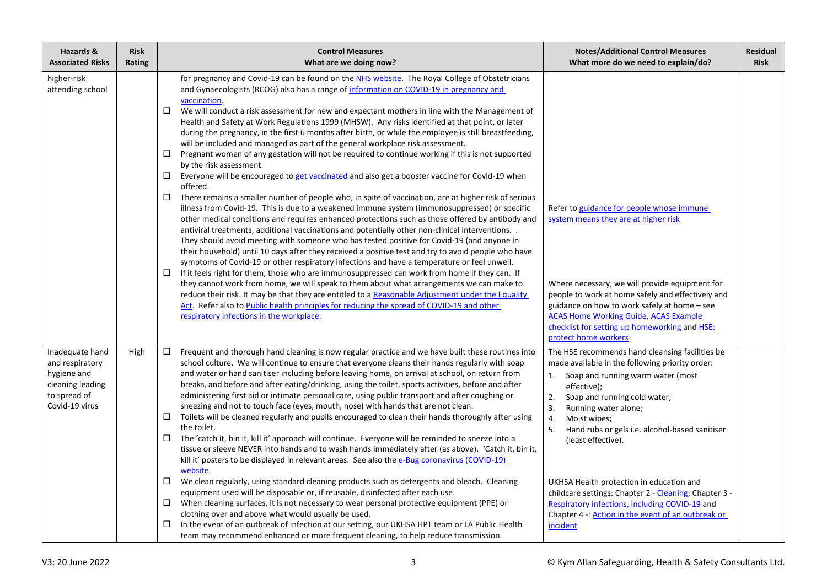| Hazards &<br><b>Associated Risks</b>                                                                    | <b>Risk</b><br>Rating | <b>Control Measures</b><br>What are we doing now?                                                                                                                                                                                                                                                                                                                                                                                                                                                                                                                                                                                                                                                                                                                                                                                                                                                                                                                                                                                                                                                                                                                                                                                                                                                                                                                                                                                                                                                                                                                                                                                                                                                                                                                                                                                                                                                                                                                                                                                                           | <b>Notes/Additional Control Measures</b><br>What more do we need to explain/do?                                                                                                                                                                                                                                                                                                                                                                                                                                                                            | <b>Residual</b><br><b>Risk</b> |
|---------------------------------------------------------------------------------------------------------|-----------------------|-------------------------------------------------------------------------------------------------------------------------------------------------------------------------------------------------------------------------------------------------------------------------------------------------------------------------------------------------------------------------------------------------------------------------------------------------------------------------------------------------------------------------------------------------------------------------------------------------------------------------------------------------------------------------------------------------------------------------------------------------------------------------------------------------------------------------------------------------------------------------------------------------------------------------------------------------------------------------------------------------------------------------------------------------------------------------------------------------------------------------------------------------------------------------------------------------------------------------------------------------------------------------------------------------------------------------------------------------------------------------------------------------------------------------------------------------------------------------------------------------------------------------------------------------------------------------------------------------------------------------------------------------------------------------------------------------------------------------------------------------------------------------------------------------------------------------------------------------------------------------------------------------------------------------------------------------------------------------------------------------------------------------------------------------------------|------------------------------------------------------------------------------------------------------------------------------------------------------------------------------------------------------------------------------------------------------------------------------------------------------------------------------------------------------------------------------------------------------------------------------------------------------------------------------------------------------------------------------------------------------------|--------------------------------|
| higher-risk<br>attending school                                                                         |                       | for pregnancy and Covid-19 can be found on the NHS website. The Royal College of Obstetricians<br>and Gynaecologists (RCOG) also has a range of information on COVID-19 in pregnancy and<br>vaccination.<br>□<br>We will conduct a risk assessment for new and expectant mothers in line with the Management of<br>Health and Safety at Work Regulations 1999 (MHSW). Any risks identified at that point, or later<br>during the pregnancy, in the first 6 months after birth, or while the employee is still breastfeeding,<br>will be included and managed as part of the general workplace risk assessment.<br>Pregnant women of any gestation will not be required to continue working if this is not supported<br>□<br>by the risk assessment.<br>Everyone will be encouraged to get vaccinated and also get a booster vaccine for Covid-19 when<br>$\Box$<br>offered.<br>$\Box$<br>There remains a smaller number of people who, in spite of vaccination, are at higher risk of serious<br>illness from Covid-19. This is due to a weakened immune system (immunosuppressed) or specific<br>other medical conditions and requires enhanced protections such as those offered by antibody and<br>antiviral treatments, additional vaccinations and potentially other non-clinical interventions. .<br>They should avoid meeting with someone who has tested positive for Covid-19 (and anyone in<br>their household) until 10 days after they received a positive test and try to avoid people who have<br>symptoms of Covid-19 or other respiratory infections and have a temperature or feel unwell.<br>If it feels right for them, those who are immunosuppressed can work from home if they can. If<br>□<br>they cannot work from home, we will speak to them about what arrangements we can make to<br>reduce their risk. It may be that they are entitled to a Reasonable Adjustment under the Equality<br>Act. Refer also to Public health principles for reducing the spread of COVID-19 and other<br>respiratory infections in the workplace. | Refer to guidance for people whose immune<br>system means they are at higher risk<br>Where necessary, we will provide equipment for<br>people to work at home safely and effectively and<br>guidance on how to work safely at home – see<br><b>ACAS Home Working Guide, ACAS Example</b><br>checklist for setting up homeworking and HSE:<br>protect home workers                                                                                                                                                                                          |                                |
| Inadequate hand<br>and respiratory<br>hygiene and<br>cleaning leading<br>to spread of<br>Covid-19 virus | High                  | □<br>Frequent and thorough hand cleaning is now regular practice and we have built these routines into<br>school culture. We will continue to ensure that everyone cleans their hands regularly with soap<br>and water or hand sanitiser including before leaving home, on arrival at school, on return from<br>breaks, and before and after eating/drinking, using the toilet, sports activities, before and after<br>administering first aid or intimate personal care, using public transport and after coughing or<br>sneezing and not to touch face (eyes, mouth, nose) with hands that are not clean.<br>Toilets will be cleaned regularly and pupils encouraged to clean their hands thoroughly after using<br>□<br>the toilet.<br>The 'catch it, bin it, kill it' approach will continue. Everyone will be reminded to sneeze into a<br>$\Box$<br>tissue or sleeve NEVER into hands and to wash hands immediately after (as above). 'Catch it, bin it,<br>kill it' posters to be displayed in relevant areas. See also the e-Bug coronavirus (COVID-19)<br>website.<br>We clean regularly, using standard cleaning products such as detergents and bleach. Cleaning<br>$\Box$<br>equipment used will be disposable or, if reusable, disinfected after each use.<br>When cleaning surfaces, it is not necessary to wear personal protective equipment (PPE) or<br>□<br>clothing over and above what would usually be used.<br>In the event of an outbreak of infection at our setting, our UKHSA HPT team or LA Public Health<br>□<br>team may recommend enhanced or more frequent cleaning, to help reduce transmission.                                                                                                                                                                                                                                                                                                                                                                                                                            | The HSE recommends hand cleansing facilities be<br>made available in the following priority order:<br>1. Soap and running warm water (most<br>effective);<br>2.<br>Soap and running cold water;<br>3.<br>Running water alone;<br>4.<br>Moist wipes;<br>5.<br>Hand rubs or gels i.e. alcohol-based sanitiser<br>(least effective).<br>UKHSA Health protection in education and<br>childcare settings: Chapter 2 - Cleaning; Chapter 3 -<br>Respiratory infections, including COVID-19 and<br>Chapter 4 -: Action in the event of an outbreak or<br>incident |                                |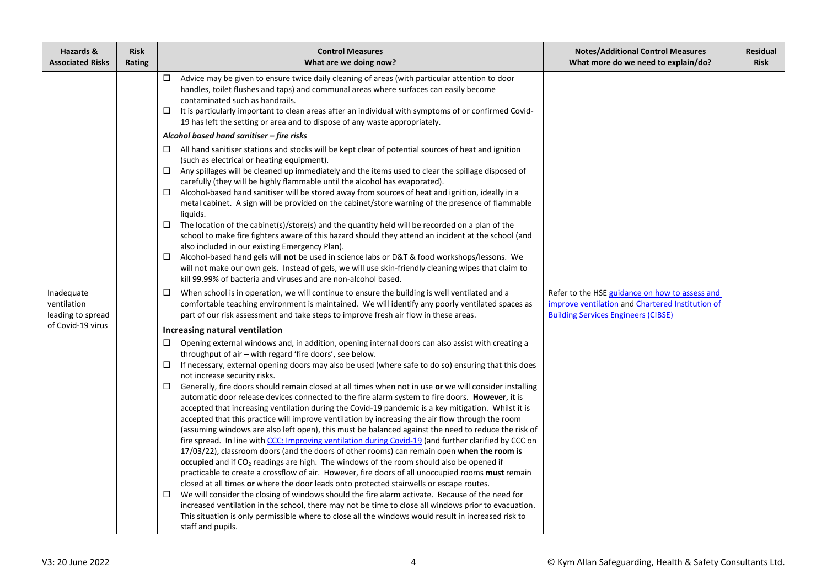| Hazards &<br><b>Associated Risks</b> | <b>Risk</b><br>Rating | <b>Control Measures</b><br>What are we doing now?                                                                                                                                                                                                                                                                                                                                                                                                                                                                                                                                                                                                                                                                                                                                                                                                                                                                                                                                                                                                                                                                                                                                                                                                                                                                                                                                                                                                                                                                                                                                                                                                                                                                 | <b>Notes/Additional Control Measures</b><br>What more do we need to explain/do?                | <b>Residual</b><br><b>Risk</b> |
|--------------------------------------|-----------------------|-------------------------------------------------------------------------------------------------------------------------------------------------------------------------------------------------------------------------------------------------------------------------------------------------------------------------------------------------------------------------------------------------------------------------------------------------------------------------------------------------------------------------------------------------------------------------------------------------------------------------------------------------------------------------------------------------------------------------------------------------------------------------------------------------------------------------------------------------------------------------------------------------------------------------------------------------------------------------------------------------------------------------------------------------------------------------------------------------------------------------------------------------------------------------------------------------------------------------------------------------------------------------------------------------------------------------------------------------------------------------------------------------------------------------------------------------------------------------------------------------------------------------------------------------------------------------------------------------------------------------------------------------------------------------------------------------------------------|------------------------------------------------------------------------------------------------|--------------------------------|
|                                      |                       | $\Box$<br>Advice may be given to ensure twice daily cleaning of areas (with particular attention to door<br>handles, toilet flushes and taps) and communal areas where surfaces can easily become<br>contaminated such as handrails.<br>It is particularly important to clean areas after an individual with symptoms of or confirmed Covid-<br>□<br>19 has left the setting or area and to dispose of any waste appropriately.                                                                                                                                                                                                                                                                                                                                                                                                                                                                                                                                                                                                                                                                                                                                                                                                                                                                                                                                                                                                                                                                                                                                                                                                                                                                                   |                                                                                                |                                |
|                                      |                       | Alcohol based hand sanitiser - fire risks                                                                                                                                                                                                                                                                                                                                                                                                                                                                                                                                                                                                                                                                                                                                                                                                                                                                                                                                                                                                                                                                                                                                                                                                                                                                                                                                                                                                                                                                                                                                                                                                                                                                         |                                                                                                |                                |
|                                      |                       | All hand sanitiser stations and stocks will be kept clear of potential sources of heat and ignition<br>(such as electrical or heating equipment).<br>Any spillages will be cleaned up immediately and the items used to clear the spillage disposed of<br>$\Box$<br>carefully (they will be highly flammable until the alcohol has evaporated).<br>Alcohol-based hand sanitiser will be stored away from sources of heat and ignition, ideally in a<br>□<br>metal cabinet. A sign will be provided on the cabinet/store warning of the presence of flammable<br>liquids.<br>The location of the cabinet(s)/store(s) and the quantity held will be recorded on a plan of the<br>□<br>school to make fire fighters aware of this hazard should they attend an incident at the school (and<br>also included in our existing Emergency Plan).<br>Alcohol-based hand gels will not be used in science labs or D&T & food workshops/lessons. We<br>□<br>will not make our own gels. Instead of gels, we will use skin-friendly cleaning wipes that claim to<br>kill 99.99% of bacteria and viruses and are non-alcohol based.                                                                                                                                                                                                                                                                                                                                                                                                                                                                                                                                                                                           |                                                                                                |                                |
| Inadequate                           |                       | When school is in operation, we will continue to ensure the building is well ventilated and a<br>$\Box$                                                                                                                                                                                                                                                                                                                                                                                                                                                                                                                                                                                                                                                                                                                                                                                                                                                                                                                                                                                                                                                                                                                                                                                                                                                                                                                                                                                                                                                                                                                                                                                                           | Refer to the HSE guidance on how to assess and                                                 |                                |
| ventilation<br>leading to spread     |                       | comfortable teaching environment is maintained. We will identify any poorly ventilated spaces as<br>part of our risk assessment and take steps to improve fresh air flow in these areas.                                                                                                                                                                                                                                                                                                                                                                                                                                                                                                                                                                                                                                                                                                                                                                                                                                                                                                                                                                                                                                                                                                                                                                                                                                                                                                                                                                                                                                                                                                                          | improve ventilation and Chartered Institution of<br><b>Building Services Engineers (CIBSE)</b> |                                |
| of Covid-19 virus                    |                       | Increasing natural ventilation                                                                                                                                                                                                                                                                                                                                                                                                                                                                                                                                                                                                                                                                                                                                                                                                                                                                                                                                                                                                                                                                                                                                                                                                                                                                                                                                                                                                                                                                                                                                                                                                                                                                                    |                                                                                                |                                |
|                                      |                       | Opening external windows and, in addition, opening internal doors can also assist with creating a<br>□<br>throughput of air - with regard 'fire doors', see below.<br>If necessary, external opening doors may also be used (where safe to do so) ensuring that this does<br>$\Box$<br>not increase security risks.<br>Generally, fire doors should remain closed at all times when not in use or we will consider installing<br>□<br>automatic door release devices connected to the fire alarm system to fire doors. However, it is<br>accepted that increasing ventilation during the Covid-19 pandemic is a key mitigation. Whilst it is<br>accepted that this practice will improve ventilation by increasing the air flow through the room<br>(assuming windows are also left open), this must be balanced against the need to reduce the risk of<br>fire spread. In line with CCC: Improving ventilation during Covid-19 (and further clarified by CCC on<br>17/03/22), classroom doors (and the doors of other rooms) can remain open when the room is<br>occupied and if CO <sub>2</sub> readings are high. The windows of the room should also be opened if<br>practicable to create a crossflow of air. However, fire doors of all unoccupied rooms must remain<br>closed at all times or where the door leads onto protected stairwells or escape routes.<br>We will consider the closing of windows should the fire alarm activate. Because of the need for<br>□<br>increased ventilation in the school, there may not be time to close all windows prior to evacuation.<br>This situation is only permissible where to close all the windows would result in increased risk to<br>staff and pupils. |                                                                                                |                                |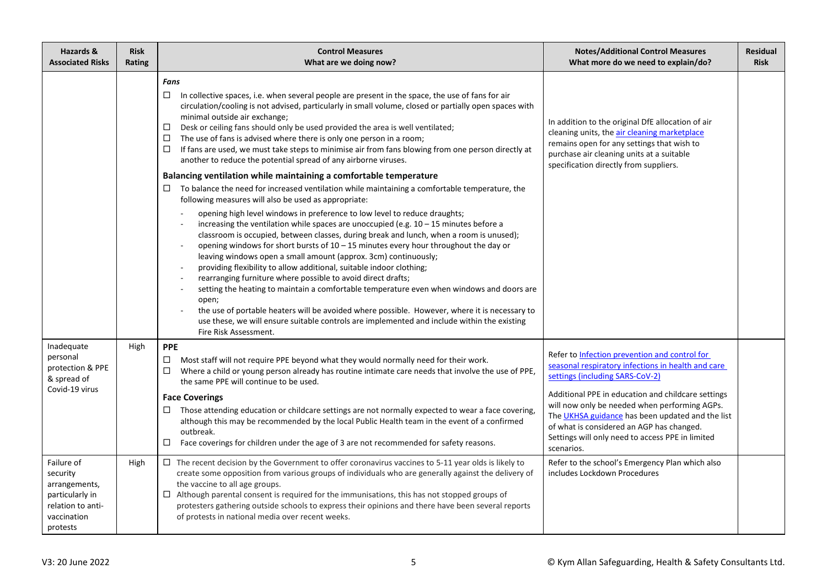| Hazards &<br><b>Associated Risks</b>                                                                       | <b>Risk</b><br>Rating | <b>Control Measures</b><br>What are we doing now?                                                                                                                                                                                                                                                                                                                                                                                                                                                                                                                                                                                                                                                                                                                                                                                                                                                                                                                                                                                                                                                                                       | <b>Notes/Additional Control Measures</b><br>What more do we need to explain/do?                                                                                                                                                                                                                                                                                                                                  | <b>Residual</b><br><b>Risk</b> |
|------------------------------------------------------------------------------------------------------------|-----------------------|-----------------------------------------------------------------------------------------------------------------------------------------------------------------------------------------------------------------------------------------------------------------------------------------------------------------------------------------------------------------------------------------------------------------------------------------------------------------------------------------------------------------------------------------------------------------------------------------------------------------------------------------------------------------------------------------------------------------------------------------------------------------------------------------------------------------------------------------------------------------------------------------------------------------------------------------------------------------------------------------------------------------------------------------------------------------------------------------------------------------------------------------|------------------------------------------------------------------------------------------------------------------------------------------------------------------------------------------------------------------------------------------------------------------------------------------------------------------------------------------------------------------------------------------------------------------|--------------------------------|
|                                                                                                            |                       | Fans<br>In collective spaces, i.e. when several people are present in the space, the use of fans for air<br>□<br>circulation/cooling is not advised, particularly in small volume, closed or partially open spaces with<br>minimal outside air exchange;<br>Desk or ceiling fans should only be used provided the area is well ventilated;<br>□<br>□<br>The use of fans is advised where there is only one person in a room;<br>If fans are used, we must take steps to minimise air from fans blowing from one person directly at<br>□<br>another to reduce the potential spread of any airborne viruses.                                                                                                                                                                                                                                                                                                                                                                                                                                                                                                                              | In addition to the original DfE allocation of air<br>cleaning units, the air cleaning marketplace<br>remains open for any settings that wish to<br>purchase air cleaning units at a suitable<br>specification directly from suppliers.                                                                                                                                                                           |                                |
|                                                                                                            |                       | Balancing ventilation while maintaining a comfortable temperature<br>To balance the need for increased ventilation while maintaining a comfortable temperature, the<br>□<br>following measures will also be used as appropriate:<br>opening high level windows in preference to low level to reduce draughts;<br>increasing the ventilation while spaces are unoccupied (e.g. $10 - 15$ minutes before a<br>classroom is occupied, between classes, during break and lunch, when a room is unused);<br>opening windows for short bursts of $10 - 15$ minutes every hour throughout the day or<br>leaving windows open a small amount (approx. 3cm) continuously;<br>providing flexibility to allow additional, suitable indoor clothing;<br>rearranging furniture where possible to avoid direct drafts;<br>setting the heating to maintain a comfortable temperature even when windows and doors are<br>open;<br>the use of portable heaters will be avoided where possible. However, where it is necessary to<br>use these, we will ensure suitable controls are implemented and include within the existing<br>Fire Risk Assessment. |                                                                                                                                                                                                                                                                                                                                                                                                                  |                                |
| Inadequate<br>personal<br>protection & PPE<br>& spread of<br>Covid-19 virus                                | High                  | <b>PPE</b><br>Most staff will not require PPE beyond what they would normally need for their work.<br>$\Box$<br>Where a child or young person already has routine intimate care needs that involve the use of PPE,<br>□<br>the same PPE will continue to be used.<br><b>Face Coverings</b><br>Those attending education or childcare settings are not normally expected to wear a face covering,<br>although this may be recommended by the local Public Health team in the event of a confirmed<br>outbreak.<br>Face coverings for children under the age of 3 are not recommended for safety reasons.<br>□                                                                                                                                                                                                                                                                                                                                                                                                                                                                                                                            | Refer to Infection prevention and control for<br>seasonal respiratory infections in health and care<br>settings (including SARS-CoV-2)<br>Additional PPE in education and childcare settings<br>will now only be needed when performing AGPs.<br>The UKHSA guidance has been updated and the list<br>of what is considered an AGP has changed.<br>Settings will only need to access PPE in limited<br>scenarios. |                                |
| Failure of<br>security<br>arrangements,<br>particularly in<br>relation to anti-<br>vaccination<br>protests | High                  | $\Box$ The recent decision by the Government to offer coronavirus vaccines to 5-11 year olds is likely to<br>create some opposition from various groups of individuals who are generally against the delivery of<br>the vaccine to all age groups.<br>$\Box$ Although parental consent is required for the immunisations, this has not stopped groups of<br>protesters gathering outside schools to express their opinions and there have been several reports<br>of protests in national media over recent weeks.                                                                                                                                                                                                                                                                                                                                                                                                                                                                                                                                                                                                                      | Refer to the school's Emergency Plan which also<br>includes Lockdown Procedures                                                                                                                                                                                                                                                                                                                                  |                                |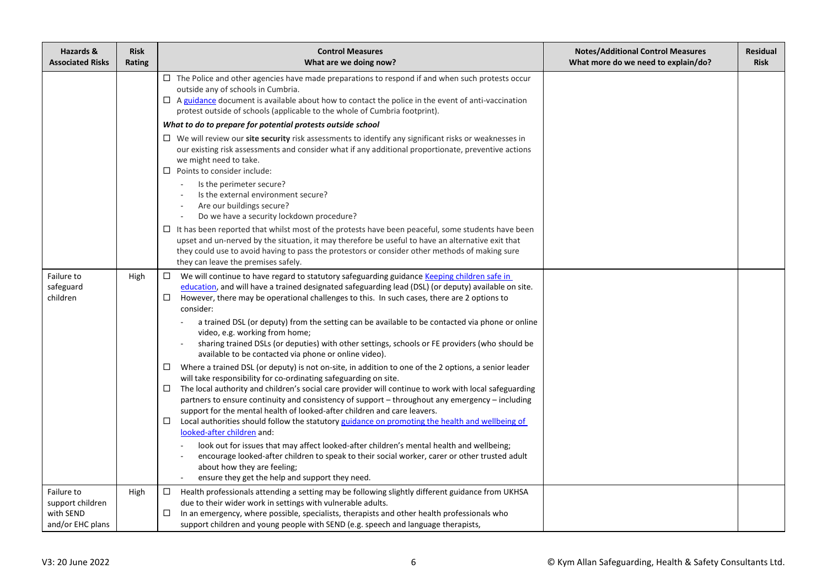| Hazards &<br><b>Associated Risks</b>                            | <b>Risk</b><br>Rating | <b>Control Measures</b><br>What are we doing now?                                                                                                                                                                                                                                                                                                                                                                                                                                                                                                                                                                                                                                                                                                                                                                                                                                                                                                                                                                                                                                                                                                                                                                                                                                                                                                                                                                                                                                                                                           | <b>Notes/Additional Control Measures</b><br>What more do we need to explain/do? | <b>Residual</b><br><b>Risk</b> |
|-----------------------------------------------------------------|-----------------------|---------------------------------------------------------------------------------------------------------------------------------------------------------------------------------------------------------------------------------------------------------------------------------------------------------------------------------------------------------------------------------------------------------------------------------------------------------------------------------------------------------------------------------------------------------------------------------------------------------------------------------------------------------------------------------------------------------------------------------------------------------------------------------------------------------------------------------------------------------------------------------------------------------------------------------------------------------------------------------------------------------------------------------------------------------------------------------------------------------------------------------------------------------------------------------------------------------------------------------------------------------------------------------------------------------------------------------------------------------------------------------------------------------------------------------------------------------------------------------------------------------------------------------------------|---------------------------------------------------------------------------------|--------------------------------|
|                                                                 |                       | $\Box$ The Police and other agencies have made preparations to respond if and when such protests occur<br>outside any of schools in Cumbria.<br>$\Box$ A guidance document is available about how to contact the police in the event of anti-vaccination<br>protest outside of schools (applicable to the whole of Cumbria footprint).                                                                                                                                                                                                                                                                                                                                                                                                                                                                                                                                                                                                                                                                                                                                                                                                                                                                                                                                                                                                                                                                                                                                                                                                      |                                                                                 |                                |
|                                                                 |                       | What to do to prepare for potential protests outside school                                                                                                                                                                                                                                                                                                                                                                                                                                                                                                                                                                                                                                                                                                                                                                                                                                                                                                                                                                                                                                                                                                                                                                                                                                                                                                                                                                                                                                                                                 |                                                                                 |                                |
|                                                                 |                       | $\Box$ We will review our site security risk assessments to identify any significant risks or weaknesses in<br>our existing risk assessments and consider what if any additional proportionate, preventive actions<br>we might need to take.<br>$\Box$ Points to consider include:                                                                                                                                                                                                                                                                                                                                                                                                                                                                                                                                                                                                                                                                                                                                                                                                                                                                                                                                                                                                                                                                                                                                                                                                                                                          |                                                                                 |                                |
|                                                                 |                       | Is the perimeter secure?<br>Is the external environment secure?<br>Are our buildings secure?<br>Do we have a security lockdown procedure?                                                                                                                                                                                                                                                                                                                                                                                                                                                                                                                                                                                                                                                                                                                                                                                                                                                                                                                                                                                                                                                                                                                                                                                                                                                                                                                                                                                                   |                                                                                 |                                |
|                                                                 |                       | $\Box$ It has been reported that whilst most of the protests have been peaceful, some students have been<br>upset and un-nerved by the situation, it may therefore be useful to have an alternative exit that<br>they could use to avoid having to pass the protestors or consider other methods of making sure<br>they can leave the premises safely.                                                                                                                                                                                                                                                                                                                                                                                                                                                                                                                                                                                                                                                                                                                                                                                                                                                                                                                                                                                                                                                                                                                                                                                      |                                                                                 |                                |
| Failure to<br>safeguard<br>children                             | High                  | We will continue to have regard to statutory safeguarding guidance Keeping children safe in<br>□<br>education, and will have a trained designated safeguarding lead (DSL) (or deputy) available on site.<br>However, there may be operational challenges to this. In such cases, there are 2 options to<br>$\Box$<br>consider:<br>a trained DSL (or deputy) from the setting can be available to be contacted via phone or online<br>video, e.g. working from home;<br>sharing trained DSLs (or deputies) with other settings, schools or FE providers (who should be<br>available to be contacted via phone or online video).<br>Where a trained DSL (or deputy) is not on-site, in addition to one of the 2 options, a senior leader<br>$\Box$<br>will take responsibility for co-ordinating safeguarding on site.<br>The local authority and children's social care provider will continue to work with local safeguarding<br>$\Box$<br>partners to ensure continuity and consistency of support – throughout any emergency – including<br>support for the mental health of looked-after children and care leavers.<br>Local authorities should follow the statutory guidance on promoting the health and wellbeing of<br>□<br>looked-after children and:<br>look out for issues that may affect looked-after children's mental health and wellbeing;<br>encourage looked-after children to speak to their social worker, carer or other trusted adult<br>about how they are feeling;<br>ensure they get the help and support they need. |                                                                                 |                                |
| Failure to<br>support children<br>with SEND<br>and/or EHC plans | High                  | Health professionals attending a setting may be following slightly different guidance from UKHSA<br>$\Box$<br>due to their wider work in settings with vulnerable adults.<br>In an emergency, where possible, specialists, therapists and other health professionals who<br>□<br>support children and young people with SEND (e.g. speech and language therapists,                                                                                                                                                                                                                                                                                                                                                                                                                                                                                                                                                                                                                                                                                                                                                                                                                                                                                                                                                                                                                                                                                                                                                                          |                                                                                 |                                |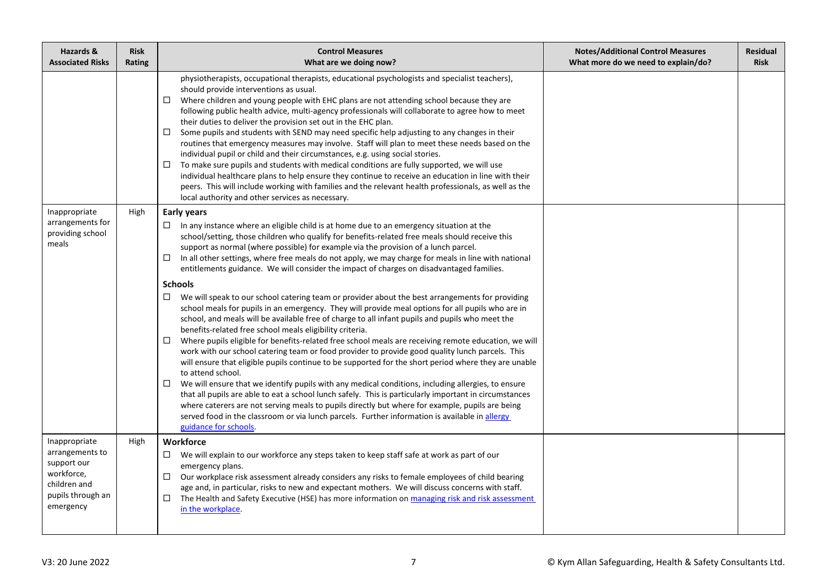| Hazards &<br><b>Associated Risks</b>                                                                            | <b>Risk</b><br>Rating | <b>Control Measures</b><br>What are we doing now?                                                                                                                                                                                                                                                                                                                                                                                                                                                                                                                                                                                                                                                                                                                                                                                                                                                                                                                                                                                                                                                                                                                                                                                                                                                                                                                                                                                                                                                                                                                                                                                                                                                                      | <b>Notes/Additional Control Measures</b><br>What more do we need to explain/do? | <b>Residual</b><br><b>Risk</b> |
|-----------------------------------------------------------------------------------------------------------------|-----------------------|------------------------------------------------------------------------------------------------------------------------------------------------------------------------------------------------------------------------------------------------------------------------------------------------------------------------------------------------------------------------------------------------------------------------------------------------------------------------------------------------------------------------------------------------------------------------------------------------------------------------------------------------------------------------------------------------------------------------------------------------------------------------------------------------------------------------------------------------------------------------------------------------------------------------------------------------------------------------------------------------------------------------------------------------------------------------------------------------------------------------------------------------------------------------------------------------------------------------------------------------------------------------------------------------------------------------------------------------------------------------------------------------------------------------------------------------------------------------------------------------------------------------------------------------------------------------------------------------------------------------------------------------------------------------------------------------------------------------|---------------------------------------------------------------------------------|--------------------------------|
|                                                                                                                 |                       | physiotherapists, occupational therapists, educational psychologists and specialist teachers),<br>should provide interventions as usual.<br>Where children and young people with EHC plans are not attending school because they are<br>$\Box$<br>following public health advice, multi-agency professionals will collaborate to agree how to meet<br>their duties to deliver the provision set out in the EHC plan.<br>□<br>Some pupils and students with SEND may need specific help adjusting to any changes in their<br>routines that emergency measures may involve. Staff will plan to meet these needs based on the<br>individual pupil or child and their circumstances, e.g. using social stories.<br>To make sure pupils and students with medical conditions are fully supported, we will use<br>□<br>individual healthcare plans to help ensure they continue to receive an education in line with their<br>peers. This will include working with families and the relevant health professionals, as well as the<br>local authority and other services as necessary.                                                                                                                                                                                                                                                                                                                                                                                                                                                                                                                                                                                                                                       |                                                                                 |                                |
| Inappropriate<br>arrangements for<br>providing school<br>meals                                                  | High                  | <b>Early years</b><br>In any instance where an eligible child is at home due to an emergency situation at the<br>□<br>school/setting, those children who qualify for benefits-related free meals should receive this<br>support as normal (where possible) for example via the provision of a lunch parcel.<br>In all other settings, where free meals do not apply, we may charge for meals in line with national<br>◻<br>entitlements guidance. We will consider the impact of charges on disadvantaged families.<br><b>Schools</b><br>We will speak to our school catering team or provider about the best arrangements for providing<br>□<br>school meals for pupils in an emergency. They will provide meal options for all pupils who are in<br>school, and meals will be available free of charge to all infant pupils and pupils who meet the<br>benefits-related free school meals eligibility criteria.<br>Where pupils eligible for benefits-related free school meals are receiving remote education, we will<br>□<br>work with our school catering team or food provider to provide good quality lunch parcels. This<br>will ensure that eligible pupils continue to be supported for the short period where they are unable<br>to attend school.<br>We will ensure that we identify pupils with any medical conditions, including allergies, to ensure<br>$\Box$<br>that all pupils are able to eat a school lunch safely. This is particularly important in circumstances<br>where caterers are not serving meals to pupils directly but where for example, pupils are being<br>served food in the classroom or via lunch parcels. Further information is available in allergy<br>guidance for schools. |                                                                                 |                                |
| Inappropriate<br>arrangements to<br>support our<br>workforce,<br>children and<br>pupils through an<br>emergency | High                  | Workforce<br>We will explain to our workforce any steps taken to keep staff safe at work as part of our<br>$\Box$<br>emergency plans.<br>Our workplace risk assessment already considers any risks to female employees of child bearing<br>□<br>age and, in particular, risks to new and expectant mothers. We will discuss concerns with staff.<br>The Health and Safety Executive (HSE) has more information on managing risk and risk assessment<br>□<br>in the workplace.                                                                                                                                                                                                                                                                                                                                                                                                                                                                                                                                                                                                                                                                                                                                                                                                                                                                                                                                                                                                                                                                                                                                                                                                                                          |                                                                                 |                                |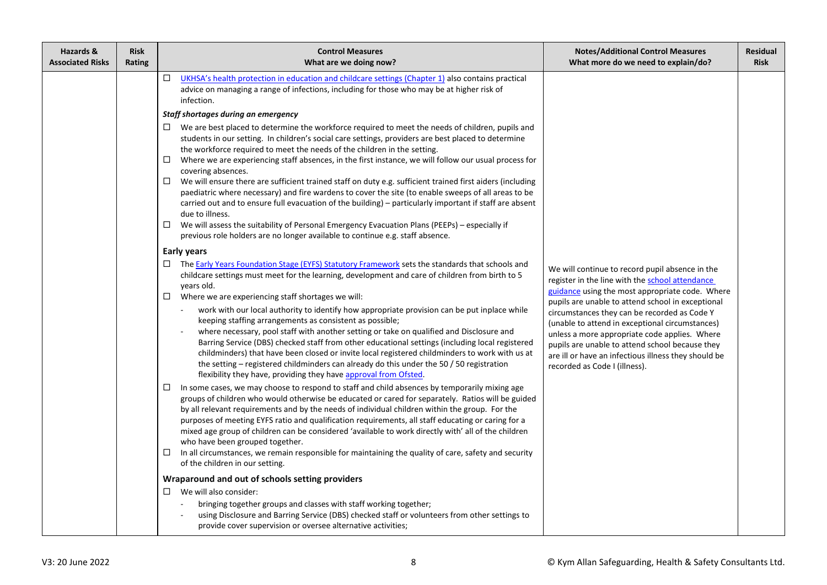| Hazards &<br><b>Associated Risks</b> | <b>Risk</b><br>Rating | <b>Control Measures</b><br>What are we doing now?                                                                                                                                                                                                                                                                                                                                                                                                                                                                                                                                                                                                                                                                                                                                                                                                                                                                                                                                                                                                                                                                                                                                                                                                                                                                                                                                                                                                                                                                                                                                                                                                                                                                                                                                                                                                                                                                                                                                                                                                                                                                                                                                                                                                                                                                                                                                                                                                                                                                                                                                                                                                                                                                                                                                                                                                                                                                                                                                                            | <b>Notes/Additional Control Measures</b><br>What more do we need to explain/do?                                                                                                                                                                                                                                                                                                                                                                                                                            | <b>Residual</b><br><b>Risk</b> |
|--------------------------------------|-----------------------|--------------------------------------------------------------------------------------------------------------------------------------------------------------------------------------------------------------------------------------------------------------------------------------------------------------------------------------------------------------------------------------------------------------------------------------------------------------------------------------------------------------------------------------------------------------------------------------------------------------------------------------------------------------------------------------------------------------------------------------------------------------------------------------------------------------------------------------------------------------------------------------------------------------------------------------------------------------------------------------------------------------------------------------------------------------------------------------------------------------------------------------------------------------------------------------------------------------------------------------------------------------------------------------------------------------------------------------------------------------------------------------------------------------------------------------------------------------------------------------------------------------------------------------------------------------------------------------------------------------------------------------------------------------------------------------------------------------------------------------------------------------------------------------------------------------------------------------------------------------------------------------------------------------------------------------------------------------------------------------------------------------------------------------------------------------------------------------------------------------------------------------------------------------------------------------------------------------------------------------------------------------------------------------------------------------------------------------------------------------------------------------------------------------------------------------------------------------------------------------------------------------------------------------------------------------------------------------------------------------------------------------------------------------------------------------------------------------------------------------------------------------------------------------------------------------------------------------------------------------------------------------------------------------------------------------------------------------------------------------------------------------|------------------------------------------------------------------------------------------------------------------------------------------------------------------------------------------------------------------------------------------------------------------------------------------------------------------------------------------------------------------------------------------------------------------------------------------------------------------------------------------------------------|--------------------------------|
|                                      |                       | $\Box$<br>UKHSA's health protection in education and childcare settings (Chapter 1) also contains practical<br>advice on managing a range of infections, including for those who may be at higher risk of<br>infection.<br>Staff shortages during an emergency<br>$\Box$ We are best placed to determine the workforce required to meet the needs of children, pupils and<br>students in our setting. In children's social care settings, providers are best placed to determine<br>the workforce required to meet the needs of the children in the setting.<br>Where we are experiencing staff absences, in the first instance, we will follow our usual process for<br>$\Box$<br>covering absences.<br>$\Box$<br>We will ensure there are sufficient trained staff on duty e.g. sufficient trained first aiders (including<br>paediatric where necessary) and fire wardens to cover the site (to enable sweeps of all areas to be<br>carried out and to ensure full evacuation of the building) – particularly important if staff are absent<br>due to illness.<br>We will assess the suitability of Personal Emergency Evacuation Plans (PEEPs) - especially if<br>□<br>previous role holders are no longer available to continue e.g. staff absence.<br><b>Early years</b><br>□ The Early Years Foundation Stage (EYFS) Statutory Framework sets the standards that schools and<br>childcare settings must meet for the learning, development and care of children from birth to 5<br>years old.<br>Where we are experiencing staff shortages we will:<br>$\Box$<br>work with our local authority to identify how appropriate provision can be put inplace while<br>keeping staffing arrangements as consistent as possible;<br>where necessary, pool staff with another setting or take on qualified and Disclosure and<br>Barring Service (DBS) checked staff from other educational settings (including local registered<br>childminders) that have been closed or invite local registered childminders to work with us at<br>the setting – registered childminders can already do this under the 50 $/$ 50 registration<br>flexibility they have, providing they have approval from Ofsted.<br>In some cases, we may choose to respond to staff and child absences by temporarily mixing age<br>$\Box$<br>groups of children who would otherwise be educated or cared for separately. Ratios will be guided<br>by all relevant requirements and by the needs of individual children within the group. For the<br>purposes of meeting EYFS ratio and qualification requirements, all staff educating or caring for a<br>mixed age group of children can be considered 'available to work directly with' all of the children<br>who have been grouped together.<br>In all circumstances, we remain responsible for maintaining the quality of care, safety and security<br>$\Box$<br>of the children in our setting.<br>Wraparound and out of schools setting providers<br>We will also consider:<br>□ | We will continue to record pupil absence in the<br>register in the line with the school attendance<br>guidance using the most appropriate code. Where<br>pupils are unable to attend school in exceptional<br>circumstances they can be recorded as Code Y<br>(unable to attend in exceptional circumstances)<br>unless a more appropriate code applies. Where<br>pupils are unable to attend school because they<br>are ill or have an infectious illness they should be<br>recorded as Code I (illness). |                                |
|                                      |                       | bringing together groups and classes with staff working together;<br>using Disclosure and Barring Service (DBS) checked staff or volunteers from other settings to<br>provide cover supervision or oversee alternative activities;                                                                                                                                                                                                                                                                                                                                                                                                                                                                                                                                                                                                                                                                                                                                                                                                                                                                                                                                                                                                                                                                                                                                                                                                                                                                                                                                                                                                                                                                                                                                                                                                                                                                                                                                                                                                                                                                                                                                                                                                                                                                                                                                                                                                                                                                                                                                                                                                                                                                                                                                                                                                                                                                                                                                                                           |                                                                                                                                                                                                                                                                                                                                                                                                                                                                                                            |                                |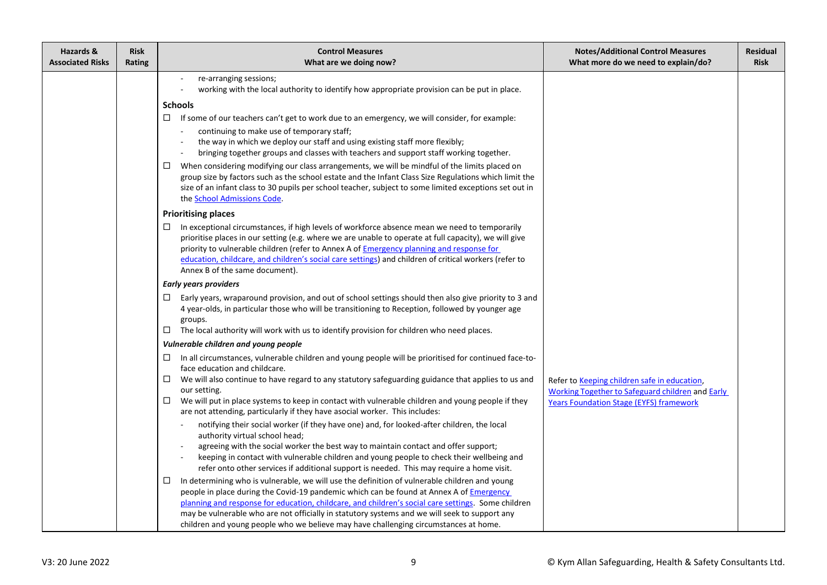| Hazards &<br><b>Associated Risks</b> | <b>Risk</b><br>Rating | <b>Control Measures</b><br>What are we doing now?                                                                                                                                                                                                                                                                                                                                                                                                                                                                                                                                                                                                                                                                                                                                                                                                                                                                                                                                                                                                                                                                                                                                                                                                                                                                                                                                                                                                   | <b>Notes/Additional Control Measures</b><br>What more do we need to explain/do?                                                                           | <b>Residual</b><br><b>Risk</b> |
|--------------------------------------|-----------------------|-----------------------------------------------------------------------------------------------------------------------------------------------------------------------------------------------------------------------------------------------------------------------------------------------------------------------------------------------------------------------------------------------------------------------------------------------------------------------------------------------------------------------------------------------------------------------------------------------------------------------------------------------------------------------------------------------------------------------------------------------------------------------------------------------------------------------------------------------------------------------------------------------------------------------------------------------------------------------------------------------------------------------------------------------------------------------------------------------------------------------------------------------------------------------------------------------------------------------------------------------------------------------------------------------------------------------------------------------------------------------------------------------------------------------------------------------------|-----------------------------------------------------------------------------------------------------------------------------------------------------------|--------------------------------|
|                                      |                       | re-arranging sessions;<br>working with the local authority to identify how appropriate provision can be put in place.<br><b>Schools</b><br>$\Box$ If some of our teachers can't get to work due to an emergency, we will consider, for example:<br>continuing to make use of temporary staff;<br>the way in which we deploy our staff and using existing staff more flexibly;<br>bringing together groups and classes with teachers and support staff working together.<br>When considering modifying our class arrangements, we will be mindful of the limits placed on<br>ш<br>group size by factors such as the school estate and the Infant Class Size Regulations which limit the<br>size of an infant class to 30 pupils per school teacher, subject to some limited exceptions set out in<br>the School Admissions Code.                                                                                                                                                                                                                                                                                                                                                                                                                                                                                                                                                                                                                     |                                                                                                                                                           |                                |
|                                      |                       | <b>Prioritising places</b><br>$\Box$<br>In exceptional circumstances, if high levels of workforce absence mean we need to temporarily<br>prioritise places in our setting (e.g. where we are unable to operate at full capacity), we will give<br>priority to vulnerable children (refer to Annex A of Emergency planning and response for<br>education, childcare, and children's social care settings) and children of critical workers (refer to<br>Annex B of the same document).                                                                                                                                                                                                                                                                                                                                                                                                                                                                                                                                                                                                                                                                                                                                                                                                                                                                                                                                                               |                                                                                                                                                           |                                |
|                                      |                       | <b>Early years providers</b><br>Early years, wraparound provision, and out of school settings should then also give priority to 3 and<br>$\Box$<br>4 year-olds, in particular those who will be transitioning to Reception, followed by younger age<br>groups.<br>The local authority will work with us to identify provision for children who need places.<br>$\Box$                                                                                                                                                                                                                                                                                                                                                                                                                                                                                                                                                                                                                                                                                                                                                                                                                                                                                                                                                                                                                                                                               |                                                                                                                                                           |                                |
|                                      |                       | Vulnerable children and young people<br>In all circumstances, vulnerable children and young people will be prioritised for continued face-to-<br>$\Box$<br>face education and childcare.<br>We will also continue to have regard to any statutory safeguarding guidance that applies to us and<br>$\Box$<br>our setting.<br>We will put in place systems to keep in contact with vulnerable children and young people if they<br>$\Box$<br>are not attending, particularly if they have asocial worker. This includes:<br>notifying their social worker (if they have one) and, for looked-after children, the local<br>authority virtual school head;<br>agreeing with the social worker the best way to maintain contact and offer support;<br>keeping in contact with vulnerable children and young people to check their wellbeing and<br>refer onto other services if additional support is needed. This may require a home visit.<br>In determining who is vulnerable, we will use the definition of vulnerable children and young<br>$\Box$<br>people in place during the Covid-19 pandemic which can be found at Annex A of <i>Emergency</i><br>planning and response for education, childcare, and children's social care settings. Some children<br>may be vulnerable who are not officially in statutory systems and we will seek to support any<br>children and young people who we believe may have challenging circumstances at home. | Refer to Keeping children safe in education,<br><b>Working Together to Safeguard children and Early</b><br><b>Years Foundation Stage (EYFS) framework</b> |                                |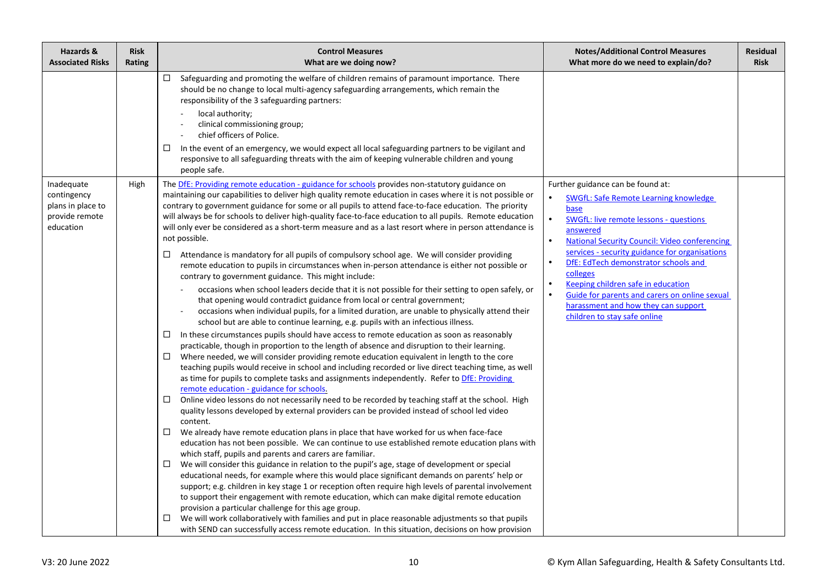| Hazards &<br><b>Associated Risks</b>                                          | <b>Risk</b><br>Rating | <b>Control Measures</b><br>What are we doing now?                                                                                                                                                                                                                                                                                                                                                                                                                                                                                                                                                                                                                                                                                                                                                                                                                                                                                                                                                                                                                                                                                                                                                                                                                                                                                                                                                                                                                                                                                                                                                                                                                                                                                                                                                                                                                                                                                                                                                                                                                                                                                                                                                                                                                                                                                                                                                                                                                                                                                                                                                                                                                                                                                                                                                                                                                                                                                                | <b>Notes/Additional Control Measures</b><br>What more do we need to explain/do?                                                                                                                                                                                                                                                                                                                                                                                                                                                              | <b>Residual</b><br><b>Risk</b> |
|-------------------------------------------------------------------------------|-----------------------|--------------------------------------------------------------------------------------------------------------------------------------------------------------------------------------------------------------------------------------------------------------------------------------------------------------------------------------------------------------------------------------------------------------------------------------------------------------------------------------------------------------------------------------------------------------------------------------------------------------------------------------------------------------------------------------------------------------------------------------------------------------------------------------------------------------------------------------------------------------------------------------------------------------------------------------------------------------------------------------------------------------------------------------------------------------------------------------------------------------------------------------------------------------------------------------------------------------------------------------------------------------------------------------------------------------------------------------------------------------------------------------------------------------------------------------------------------------------------------------------------------------------------------------------------------------------------------------------------------------------------------------------------------------------------------------------------------------------------------------------------------------------------------------------------------------------------------------------------------------------------------------------------------------------------------------------------------------------------------------------------------------------------------------------------------------------------------------------------------------------------------------------------------------------------------------------------------------------------------------------------------------------------------------------------------------------------------------------------------------------------------------------------------------------------------------------------------------------------------------------------------------------------------------------------------------------------------------------------------------------------------------------------------------------------------------------------------------------------------------------------------------------------------------------------------------------------------------------------------------------------------------------------------------------------------------------------|----------------------------------------------------------------------------------------------------------------------------------------------------------------------------------------------------------------------------------------------------------------------------------------------------------------------------------------------------------------------------------------------------------------------------------------------------------------------------------------------------------------------------------------------|--------------------------------|
|                                                                               |                       | $\Box$ Safeguarding and promoting the welfare of children remains of paramount importance. There<br>should be no change to local multi-agency safeguarding arrangements, which remain the<br>responsibility of the 3 safeguarding partners:<br>local authority;<br>clinical commissioning group;<br>chief officers of Police.<br>In the event of an emergency, we would expect all local safeguarding partners to be vigilant and<br>□<br>responsive to all safeguarding threats with the aim of keeping vulnerable children and young<br>people safe.                                                                                                                                                                                                                                                                                                                                                                                                                                                                                                                                                                                                                                                                                                                                                                                                                                                                                                                                                                                                                                                                                                                                                                                                                                                                                                                                                                                                                                                                                                                                                                                                                                                                                                                                                                                                                                                                                                                                                                                                                                                                                                                                                                                                                                                                                                                                                                                           |                                                                                                                                                                                                                                                                                                                                                                                                                                                                                                                                              |                                |
| Inadequate<br>contingency<br>plans in place to<br>provide remote<br>education | High                  | The DfE: Providing remote education - guidance for schools provides non-statutory guidance on<br>maintaining our capabilities to deliver high quality remote education in cases where it is not possible or<br>contrary to government guidance for some or all pupils to attend face-to-face education. The priority<br>will always be for schools to deliver high-quality face-to-face education to all pupils. Remote education<br>will only ever be considered as a short-term measure and as a last resort where in person attendance is<br>not possible.<br>Attendance is mandatory for all pupils of compulsory school age. We will consider providing<br>$\Box$<br>remote education to pupils in circumstances when in-person attendance is either not possible or<br>contrary to government guidance. This might include:<br>occasions when school leaders decide that it is not possible for their setting to open safely, or<br>that opening would contradict guidance from local or central government;<br>occasions when individual pupils, for a limited duration, are unable to physically attend their<br>school but are able to continue learning, e.g. pupils with an infectious illness.<br>In these circumstances pupils should have access to remote education as soon as reasonably<br>$\Box$<br>practicable, though in proportion to the length of absence and disruption to their learning.<br>Where needed, we will consider providing remote education equivalent in length to the core<br>□<br>teaching pupils would receive in school and including recorded or live direct teaching time, as well<br>as time for pupils to complete tasks and assignments independently. Refer to DfE: Providing<br>remote education - guidance for schools.<br>Online video lessons do not necessarily need to be recorded by teaching staff at the school. High<br>□<br>quality lessons developed by external providers can be provided instead of school led video<br>content.<br>We already have remote education plans in place that have worked for us when face-face<br>education has not been possible. We can continue to use established remote education plans with<br>which staff, pupils and parents and carers are familiar.<br>We will consider this guidance in relation to the pupil's age, stage of development or special<br>$\Box$<br>educational needs, for example where this would place significant demands on parents' help or<br>support; e.g. children in key stage 1 or reception often require high levels of parental involvement<br>to support their engagement with remote education, which can make digital remote education<br>provision a particular challenge for this age group.<br>We will work collaboratively with families and put in place reasonable adjustments so that pupils<br>□<br>with SEND can successfully access remote education. In this situation, decisions on how provision | Further guidance can be found at:<br>$\bullet$<br>SWGfL: Safe Remote Learning knowledge<br>base<br>$\bullet$<br><b>SWGfL: live remote lessons - questions</b><br>answered<br><b>National Security Council: Video conferencing</b><br>services - security guidance for organisations<br>DfE: EdTech demonstrator schools and<br>$\bullet$<br>colleges<br>Keeping children safe in education<br>$\bullet$<br>$\bullet$<br>Guide for parents and carers on online sexual<br>harassment and how they can support<br>children to stay safe online |                                |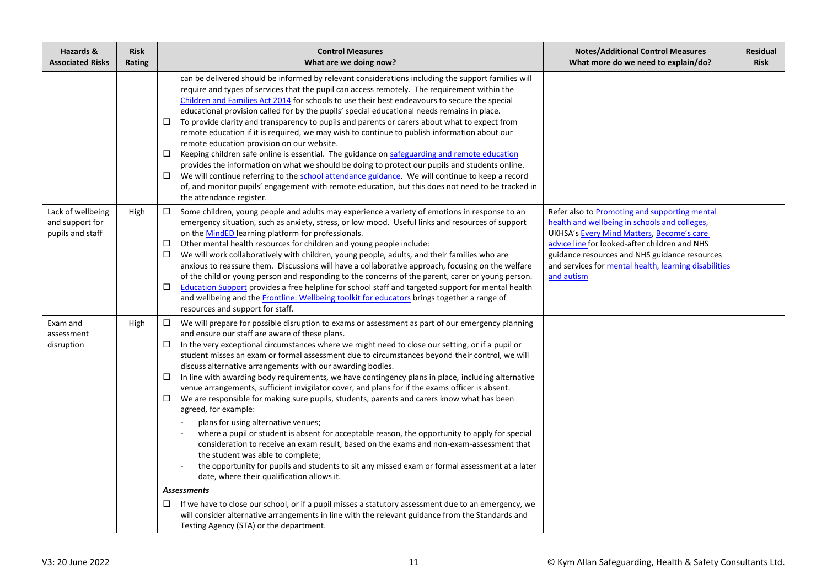| Hazards &<br><b>Associated Risks</b>                     | <b>Risk</b><br>Rating | <b>Control Measures</b><br>What are we doing now?                                                                                                                                                                                                                                                                                                                                                                                                                                                                                                                                                                                                                                                                                                                                                                                                                                                                                                                                                                                                                                                                                                                                                                                                                                                                                               | <b>Notes/Additional Control Measures</b><br>What more do we need to explain/do?                                                                                                                                                                                                                                      | <b>Residual</b><br><b>Risk</b> |
|----------------------------------------------------------|-----------------------|-------------------------------------------------------------------------------------------------------------------------------------------------------------------------------------------------------------------------------------------------------------------------------------------------------------------------------------------------------------------------------------------------------------------------------------------------------------------------------------------------------------------------------------------------------------------------------------------------------------------------------------------------------------------------------------------------------------------------------------------------------------------------------------------------------------------------------------------------------------------------------------------------------------------------------------------------------------------------------------------------------------------------------------------------------------------------------------------------------------------------------------------------------------------------------------------------------------------------------------------------------------------------------------------------------------------------------------------------|----------------------------------------------------------------------------------------------------------------------------------------------------------------------------------------------------------------------------------------------------------------------------------------------------------------------|--------------------------------|
|                                                          |                       | can be delivered should be informed by relevant considerations including the support families will<br>require and types of services that the pupil can access remotely. The requirement within the<br>Children and Families Act 2014 for schools to use their best endeavours to secure the special<br>educational provision called for by the pupils' special educational needs remains in place.<br>To provide clarity and transparency to pupils and parents or carers about what to expect from<br>□<br>remote education if it is required, we may wish to continue to publish information about our<br>remote education provision on our website.<br>□<br>Keeping children safe online is essential. The guidance on safeguarding and remote education<br>provides the information on what we should be doing to protect our pupils and students online.<br>$\Box$<br>We will continue referring to the school attendance guidance. We will continue to keep a record<br>of, and monitor pupils' engagement with remote education, but this does not need to be tracked in<br>the attendance register.                                                                                                                                                                                                                                     |                                                                                                                                                                                                                                                                                                                      |                                |
| Lack of wellbeing<br>and support for<br>pupils and staff | High                  | Some children, young people and adults may experience a variety of emotions in response to an<br>$\Box$<br>emergency situation, such as anxiety, stress, or low mood. Useful links and resources of support<br>on the MindED learning platform for professionals.<br>□<br>Other mental health resources for children and young people include:<br>□<br>We will work collaboratively with children, young people, adults, and their families who are<br>anxious to reassure them. Discussions will have a collaborative approach, focusing on the welfare<br>of the child or young person and responding to the concerns of the parent, carer or young person.<br>□<br>Education Support provides a free helpline for school staff and targeted support for mental health<br>and wellbeing and the Frontline: Wellbeing toolkit for educators brings together a range of<br>resources and support for staff.                                                                                                                                                                                                                                                                                                                                                                                                                                     | Refer also to Promoting and supporting mental<br>health and wellbeing in schools and colleges,<br>UKHSA's Every Mind Matters, Become's care<br>advice line for looked-after children and NHS<br>guidance resources and NHS guidance resources<br>and services for mental health, learning disabilities<br>and autism |                                |
| Exam and<br>assessment<br>disruption                     | High                  | $\Box$<br>We will prepare for possible disruption to exams or assessment as part of our emergency planning<br>and ensure our staff are aware of these plans.<br>In the very exceptional circumstances where we might need to close our setting, or if a pupil or<br>□<br>student misses an exam or formal assessment due to circumstances beyond their control, we will<br>discuss alternative arrangements with our awarding bodies.<br>□<br>In line with awarding body requirements, we have contingency plans in place, including alternative<br>venue arrangements, sufficient invigilator cover, and plans for if the exams officer is absent.<br>□<br>We are responsible for making sure pupils, students, parents and carers know what has been<br>agreed, for example:<br>plans for using alternative venues;<br>where a pupil or student is absent for acceptable reason, the opportunity to apply for special<br>consideration to receive an exam result, based on the exams and non-exam-assessment that<br>the student was able to complete;<br>the opportunity for pupils and students to sit any missed exam or formal assessment at a later<br>date, where their qualification allows it.<br><b>Assessments</b><br>If we have to close our school, or if a pupil misses a statutory assessment due to an emergency, we<br>$\Box$ |                                                                                                                                                                                                                                                                                                                      |                                |
|                                                          |                       | will consider alternative arrangements in line with the relevant guidance from the Standards and<br>Testing Agency (STA) or the department.                                                                                                                                                                                                                                                                                                                                                                                                                                                                                                                                                                                                                                                                                                                                                                                                                                                                                                                                                                                                                                                                                                                                                                                                     |                                                                                                                                                                                                                                                                                                                      |                                |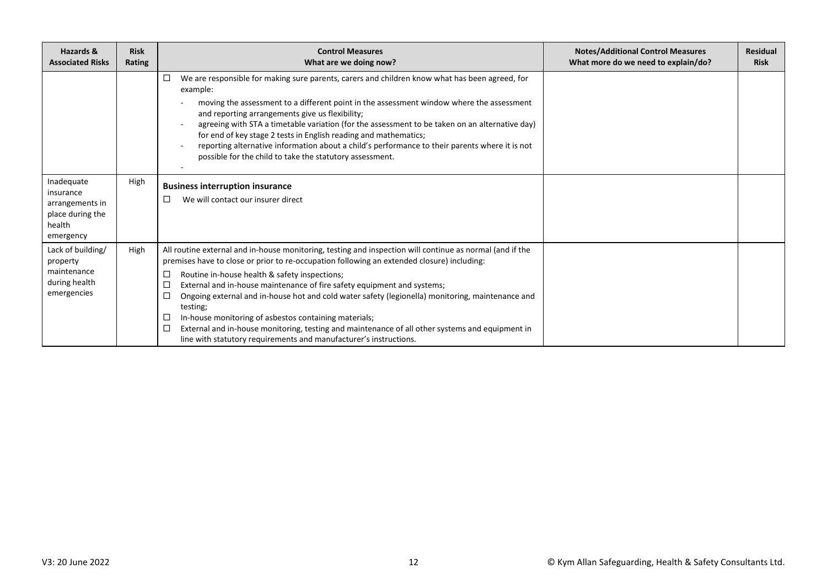| Hazards &<br><b>Associated Risks</b>                                                  | <b>Risk</b><br>Rating | <b>Control Measures</b><br>What are we doing now?                                                                                                                                                                                                                                                                                                                                                                                                                                                                                                                                                                                                                                                            | <b>Notes/Additional Control Measures</b><br>What more do we need to explain/do? | <b>Residual</b><br><b>Risk</b> |
|---------------------------------------------------------------------------------------|-----------------------|--------------------------------------------------------------------------------------------------------------------------------------------------------------------------------------------------------------------------------------------------------------------------------------------------------------------------------------------------------------------------------------------------------------------------------------------------------------------------------------------------------------------------------------------------------------------------------------------------------------------------------------------------------------------------------------------------------------|---------------------------------------------------------------------------------|--------------------------------|
|                                                                                       |                       | We are responsible for making sure parents, carers and children know what has been agreed, for<br>□<br>example:<br>moving the assessment to a different point in the assessment window where the assessment<br>and reporting arrangements give us flexibility;<br>agreeing with STA a timetable variation (for the assessment to be taken on an alternative day)<br>for end of key stage 2 tests in English reading and mathematics;<br>reporting alternative information about a child's performance to their parents where it is not<br>possible for the child to take the statutory assessment.                                                                                                           |                                                                                 |                                |
| Inadequate<br>insurance<br>arrangements in<br>place during the<br>health<br>emergency | High                  | <b>Business interruption insurance</b><br>We will contact our insurer direct<br>□                                                                                                                                                                                                                                                                                                                                                                                                                                                                                                                                                                                                                            |                                                                                 |                                |
| Lack of building/<br>property<br>maintenance<br>during health<br>emergencies          | High                  | All routine external and in-house monitoring, testing and inspection will continue as normal (and if the<br>premises have to close or prior to re-occupation following an extended closure) including:<br>Routine in-house health & safety inspections;<br>□<br>External and in-house maintenance of fire safety equipment and systems;<br>□<br>□<br>Ongoing external and in-house hot and cold water safety (legionella) monitoring, maintenance and<br>testing;<br>In-house monitoring of asbestos containing materials;<br>□<br>□<br>External and in-house monitoring, testing and maintenance of all other systems and equipment in<br>line with statutory requirements and manufacturer's instructions. |                                                                                 |                                |